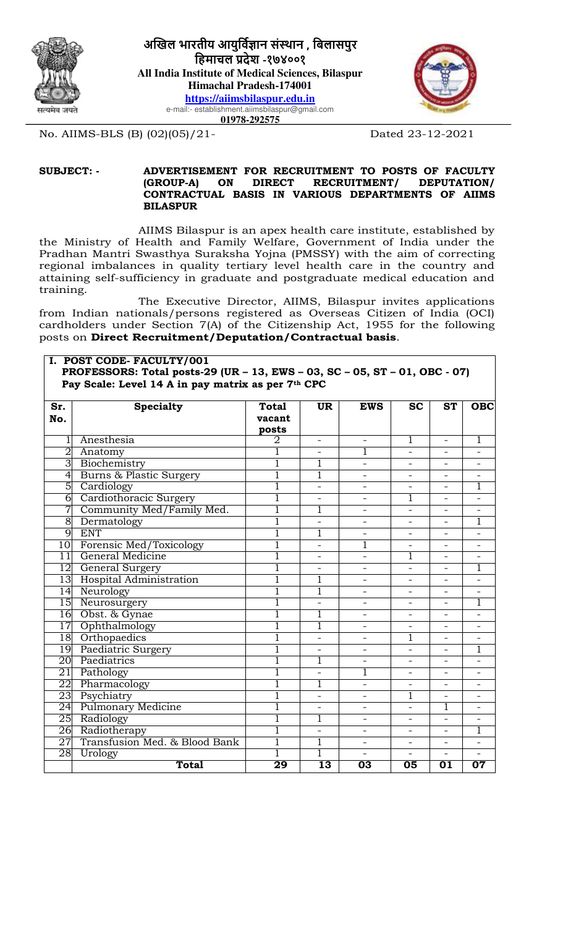



No. AIIMS-BLS (B) (02)(05)/21- Dated 23-12-2021

#### **SUBJECT: - ADVERTISEMENT FOR RECRUITMENT TO POSTS OF FACULTY**   $RECRUITMENT/$ **CONTRACTUAL BASIS IN VARIOUS DEPARTMENTS OF AIIMS BILASPUR**

AIIMS Bilaspur is an apex health care institute, established by the Ministry of Health and Family Welfare, Government of India under the Pradhan Mantri Swasthya Suraksha Yojna (PMSSY) with the aim of correcting regional imbalances in quality tertiary level health care in the country and attaining self-sufficiency in graduate and postgraduate medical education and training.

The Executive Director, AIIMS, Bilaspur invites applications from Indian nationals/persons registered as Overseas Citizen of India (OCI) cardholders under Section 7(A) of the Citizenship Act, 1955 for the following posts on **Direct Recruitment/Deputation/Contractual basis**.

#### **I. POST CODE- FACULTY/001 PROFESSORS: Total posts-29 (UR – 13, EWS – 03, SC – 05, ST – 01, OBC - 07) Pay Scale: Level 14 A in pay matrix as per 7th CPC**

| Sr.<br>No.      | <b>Specialty</b>                   | <b>Total</b><br>vacant<br>posts | <b>UR</b>                | <b>EWS</b>               | <b>SC</b>                | <b>ST</b>                | <b>OBC</b>               |
|-----------------|------------------------------------|---------------------------------|--------------------------|--------------------------|--------------------------|--------------------------|--------------------------|
|                 | Anesthesia                         | 2                               | $\overline{\phantom{a}}$ | $\overline{\phantom{0}}$ | 1                        | $\overline{\phantom{a}}$ | 1                        |
| $\overline{2}$  | Anatomy                            |                                 |                          |                          | $\overline{\phantom{0}}$ |                          |                          |
| $\overline{3}$  | Biochemistry                       | $\overline{1}$                  | 1                        |                          |                          |                          |                          |
| $\overline{4}$  | <b>Burns &amp; Plastic Surgery</b> | $\overline{1}$                  | 1                        |                          | $\overline{\phantom{0}}$ |                          |                          |
| $\overline{5}$  | Cardiology                         | ī                               |                          | $\overline{\phantom{0}}$ | $\overline{\phantom{0}}$ |                          | ī                        |
| $\overline{6}$  | Cardiothoracic Surgery             | ī                               |                          |                          | 1                        |                          |                          |
| $\overline{7}$  | Community Med/Family Med.          | $\overline{1}$                  | 1                        |                          |                          |                          |                          |
| 8               | Dermatology                        | ī                               | $\overline{\phantom{0}}$ | $\overline{\phantom{0}}$ | $\overline{a}$           |                          | $\mathbf{1}$             |
| g               | <b>ENT</b>                         | $\overline{1}$                  | 1                        | $\overline{\phantom{0}}$ | $\overline{\phantom{0}}$ |                          |                          |
| 10              | Forensic Med/Toxicology            | $\overline{1}$                  |                          |                          |                          |                          |                          |
| $\overline{11}$ | General Medicine                   | 1                               |                          | $\overline{\phantom{0}}$ | 1                        |                          |                          |
| 12              | General Surgery                    | 1                               |                          | $\overline{\phantom{0}}$ | $\overline{\phantom{0}}$ |                          |                          |
| 13              | Hospital Administration            | ī                               | 1                        |                          |                          |                          |                          |
| 14              | Neurology                          | 1                               | 1                        |                          |                          |                          |                          |
| 15              | Neurosurgery                       | $\overline{1}$                  | $\overline{a}$           | $\overline{\phantom{0}}$ | $\overline{\phantom{0}}$ |                          | $\mathbf{1}$             |
| 16              | Obst. & Gynae                      | $\overline{1}$                  | 1                        | $\overline{\phantom{0}}$ |                          |                          |                          |
| 17              | Ophthalmology                      | $\overline{1}$                  | 1                        |                          |                          |                          |                          |
| $\overline{18}$ | Orthopaedics                       | $\overline{1}$                  |                          | $\overline{a}$           | 1                        |                          |                          |
| 19              | Paediatric Surgery                 | 1                               |                          | $\overline{\phantom{0}}$ | $\overline{\phantom{0}}$ |                          | 1                        |
| 20              | Paediatrics                        | $\overline{1}$                  | 1                        |                          | $\overline{a}$           |                          |                          |
| 21              | Pathology                          | 1                               |                          |                          |                          |                          |                          |
| 22              | Pharmacology                       |                                 |                          | $\overline{\phantom{0}}$ |                          |                          |                          |
| 23              | Psychiatry                         | 1                               |                          |                          | $\mathbf{1}$             |                          |                          |
| 24              | <b>Pulmonary Medicine</b>          | 1                               |                          |                          |                          | $\overline{1}$           |                          |
| 25              | Radiology                          | ī                               |                          | $\overline{\phantom{0}}$ | $\overline{\phantom{0}}$ |                          |                          |
| $\overline{26}$ | Radiotherapy                       | $\overline{1}$                  |                          | $\overline{\phantom{0}}$ | $\overline{\phantom{0}}$ |                          |                          |
| 27              | Transfusion Med. & Blood Bank      | $\overline{1}$                  | 1                        |                          |                          |                          |                          |
| 28              | Urology                            |                                 | ī                        |                          |                          |                          |                          |
|                 | <b>Total</b>                       | $\overline{29}$                 | $\overline{13}$          | $\overline{03}$          | 05                       | 01                       | $\overline{\mathbf{07}}$ |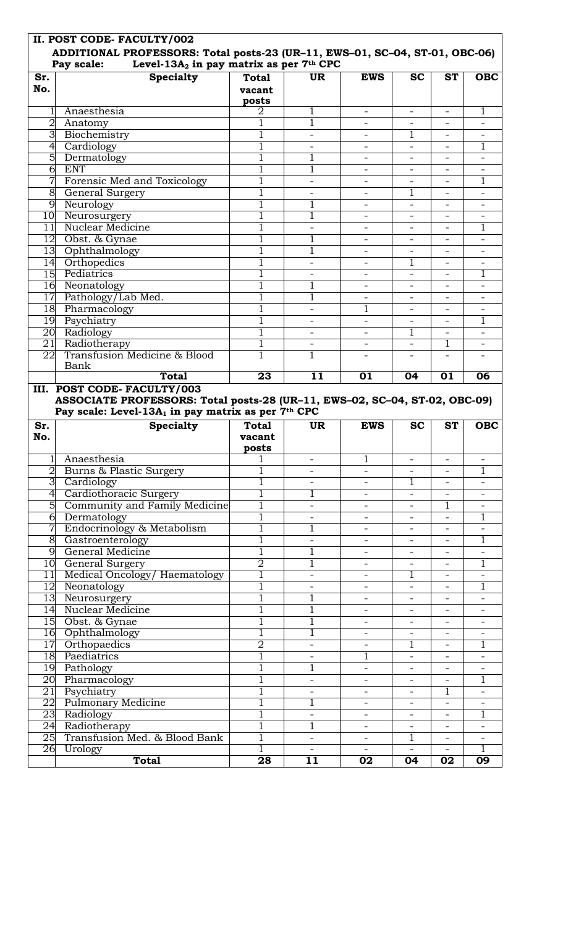| II. POST CODE- FACULTY/002<br>ADDITIONAL PROFESSORS: Total posts-23 (UR-11, EWS-01, SC-04, ST-01, OBC-06)<br>Level-13A <sub>2</sub> in pay matrix as per 7th CPC<br>Pay scale: |                                                                                                |                                  |                          |                          |                          |                          |                |
|--------------------------------------------------------------------------------------------------------------------------------------------------------------------------------|------------------------------------------------------------------------------------------------|----------------------------------|--------------------------|--------------------------|--------------------------|--------------------------|----------------|
| Sr.<br>No.                                                                                                                                                                     | <b>Specialty</b>                                                                               | <b>Total</b><br>vacant<br>posts  | <b>UR</b>                | <b>EWS</b>               | <b>SC</b>                | <b>ST</b>                | <b>OBC</b>     |
|                                                                                                                                                                                | Anaesthesia                                                                                    | 2                                | 1                        | $\overline{\phantom{0}}$ | $-$                      | $-$                      | 1              |
| $\overline{2}$                                                                                                                                                                 | Anatomy                                                                                        | 1                                | $\mathbf{1}$             |                          |                          |                          |                |
| 3 <sup>7</sup>                                                                                                                                                                 | Biochemistry                                                                                   | 1                                |                          |                          | 1                        |                          |                |
| $\overline{4}$                                                                                                                                                                 | Cardiology                                                                                     | 1                                |                          |                          |                          |                          | 1              |
| $\overline{5}$                                                                                                                                                                 | Dermatology                                                                                    | 1                                |                          |                          |                          |                          |                |
| $\overline{6}$                                                                                                                                                                 | <b>ENT</b>                                                                                     | 1                                | 1                        |                          |                          |                          |                |
| 7                                                                                                                                                                              | Forensic Med and Toxicology                                                                    | 1                                | $\overline{\phantom{a}}$ |                          |                          |                          | 1              |
| $\infty$                                                                                                                                                                       | <b>General Surgery</b>                                                                         | 1                                | $\overline{\phantom{a}}$ | $\overline{\phantom{0}}$ | 1                        |                          |                |
|                                                                                                                                                                                | 9 Neurology                                                                                    | 1                                | 1                        | $\overline{\phantom{0}}$ | $\overline{\phantom{a}}$ |                          |                |
|                                                                                                                                                                                | 10 Neurosurgery                                                                                | 1                                | 1                        | $\overline{\phantom{0}}$ | $\overline{\phantom{0}}$ |                          |                |
| 11                                                                                                                                                                             | <b>Nuclear Medicine</b>                                                                        | 1                                | $\overline{\phantom{a}}$ | $\overline{\phantom{0}}$ |                          |                          | 1              |
|                                                                                                                                                                                | 12 Obst. & Gynae                                                                               | 1                                | 1                        |                          |                          |                          |                |
|                                                                                                                                                                                | 13 Ophthalmology                                                                               | 1                                | 1                        |                          |                          |                          |                |
| 14                                                                                                                                                                             | Orthopedics                                                                                    | 1                                |                          |                          | 1                        |                          |                |
| 15                                                                                                                                                                             | Pediatrics                                                                                     | 1                                | $\overline{\phantom{0}}$ | $\overline{\phantom{a}}$ |                          |                          |                |
| 16                                                                                                                                                                             | Neonatology                                                                                    | $\mathbf{1}$                     | 1                        |                          |                          |                          |                |
| $17 \,$                                                                                                                                                                        | Pathology/Lab Med.                                                                             | 1                                | 1                        | $\overline{\phantom{0}}$ | $\overline{\phantom{0}}$ |                          |                |
|                                                                                                                                                                                | 18 Pharmacology                                                                                | 1                                | $\overline{\phantom{a}}$ | 1                        | $\overline{\phantom{a}}$ |                          |                |
|                                                                                                                                                                                | 19 Psychiatry                                                                                  | 1                                | $\overline{\phantom{0}}$ | $\overline{\phantom{0}}$ | $\overline{\phantom{0}}$ |                          |                |
|                                                                                                                                                                                | 20 Radiology                                                                                   | 1                                |                          | $\overline{\phantom{0}}$ | 1                        |                          |                |
| 21                                                                                                                                                                             | Radiotherapy                                                                                   | $\mathbf{1}$                     |                          |                          |                          | 1                        |                |
| 22                                                                                                                                                                             | Transfusion Medicine & Blood<br>Bank                                                           | 1                                |                          |                          |                          |                          |                |
|                                                                                                                                                                                | <b>Total</b>                                                                                   | $\overline{23}$                  | 11                       | $\overline{01}$          | 04                       | $\overline{01}$          | 06             |
|                                                                                                                                                                                | ASSOCIATE PROFESSORS: Total posts-28 (UR-11, EWS-02, SC-04, ST-02, OBC-09)                     |                                  |                          |                          |                          |                          |                |
| Sr.<br>No.                                                                                                                                                                     | Pay scale: Level-13A <sub>1</sub> in pay matrix as per 7 <sup>th</sup> CPC<br><b>Specialty</b> | <b>Total</b><br>vacant           | UR.                      | <b>EWS</b>               | <b>SC</b>                | <b>ST</b>                | <b>OBC</b>     |
|                                                                                                                                                                                |                                                                                                | posts                            |                          | 1                        | $\overline{\phantom{a}}$ | $\overline{\phantom{0}}$ |                |
|                                                                                                                                                                                | Anaesthesia                                                                                    | $\mathbf{1}$                     |                          |                          |                          |                          | 1              |
| 2                                                                                                                                                                              | Burns & Plastic Surgery                                                                        | 1                                |                          |                          | 1                        |                          |                |
| $\overline{3}$                                                                                                                                                                 | Cardiology                                                                                     | $\mathbf 1$                      | 1                        | $\overline{\phantom{0}}$ | $\overline{\phantom{a}}$ |                          |                |
| $\overline{\mathcal{A}}$<br>$\overline{5}$                                                                                                                                     | Cardiothoracic Surgery                                                                         | 1                                |                          | $\overline{\phantom{a}}$ |                          | 1                        |                |
| $\overline{6}$                                                                                                                                                                 | Community and Family Medicine                                                                  | 1                                |                          | $\overline{\phantom{a}}$ |                          |                          | 1              |
| 7                                                                                                                                                                              | Dermatology                                                                                    | 1                                | 1                        | $\overline{\phantom{a}}$ |                          |                          |                |
| $\infty$                                                                                                                                                                       | Endocrinology & Metabolism                                                                     | 1                                | $\overline{\phantom{0}}$ | $\overline{\phantom{a}}$ | $\overline{\phantom{0}}$ |                          | 1              |
| $\overline{9}$                                                                                                                                                                 | Gastroenterology<br>General Medicine                                                           | ī                                |                          | $\overline{\phantom{a}}$ | $\overline{\phantom{0}}$ |                          |                |
|                                                                                                                                                                                |                                                                                                | $\overline{2}$                   | 1                        | $\overline{\phantom{0}}$ | $\overline{\phantom{0}}$ |                          |                |
| 11                                                                                                                                                                             | 10 General Surgery                                                                             | $\overline{1}$                   | $\overline{\phantom{0}}$ | $\overline{\phantom{0}}$ | 1                        |                          |                |
| $\overline{12}$                                                                                                                                                                | Medical Oncology/ Haematology<br>Neonatology                                                   | 1                                | $\overline{\phantom{a}}$ | $\overline{\phantom{0}}$ | $\overline{\phantom{a}}$ |                          | 1              |
|                                                                                                                                                                                |                                                                                                | 1                                | 1                        | $\overline{\phantom{a}}$ |                          |                          |                |
| 14                                                                                                                                                                             | 13 Neurosurgery<br>Nuclear Medicine                                                            | 1                                | 1                        | $\overline{\phantom{0}}$ | $\overline{\phantom{0}}$ |                          |                |
| 15                                                                                                                                                                             | Obst. & Gynae                                                                                  | 1                                | $\overline{1}$           | $\overline{\phantom{a}}$ |                          |                          |                |
| 16                                                                                                                                                                             |                                                                                                | $\overline{1}$                   | $\overline{1}$           | $\overline{\phantom{a}}$ |                          |                          |                |
| 17                                                                                                                                                                             | Ophthalmology                                                                                  |                                  | $\overline{\phantom{0}}$ | $\qquad \qquad -$        | 1                        | $\overline{\phantom{0}}$ | 1              |
| 18                                                                                                                                                                             | Orthopaedics<br>Paediatrics                                                                    | $\overline{2}$<br>$\overline{1}$ | $\overline{\phantom{0}}$ | 1                        | $\overline{\phantom{a}}$ |                          |                |
|                                                                                                                                                                                |                                                                                                | 1                                |                          | $\overline{\phantom{0}}$ | $\overline{\phantom{0}}$ |                          | $\overline{a}$ |
| 20 <sup>7</sup>                                                                                                                                                                | 19 Pathology<br>Pharmacology                                                                   |                                  | $\overline{a}$           | $\overline{\phantom{a}}$ | $\overline{\phantom{0}}$ |                          | $\overline{1}$ |
| 21                                                                                                                                                                             |                                                                                                | $\mathbf{1}$                     | $\overline{\phantom{a}}$ | $\overline{\phantom{0}}$ | $\overline{\phantom{a}}$ | 1                        | $\overline{a}$ |
| $\overline{22}$                                                                                                                                                                | Psychiatry                                                                                     | 1                                | 1                        | $\overline{\phantom{a}}$ |                          |                          |                |
|                                                                                                                                                                                | <b>Pulmonary Medicine</b>                                                                      | 1                                | $\overline{\phantom{a}}$ | $\overline{\phantom{0}}$ | $\overline{\phantom{0}}$ |                          | 1              |
| 23<br>$\overline{24}$                                                                                                                                                          | Radiology                                                                                      | 1                                | 1                        | $\overline{\phantom{a}}$ |                          |                          |                |
| 25                                                                                                                                                                             | Radiotherapy<br>Transfusion Med. & Blood Bank                                                  | 1                                |                          | $\overline{\phantom{a}}$ | 1                        |                          |                |
| 26                                                                                                                                                                             | Urology                                                                                        | 1                                |                          | $\overline{\phantom{0}}$ |                          |                          | 1              |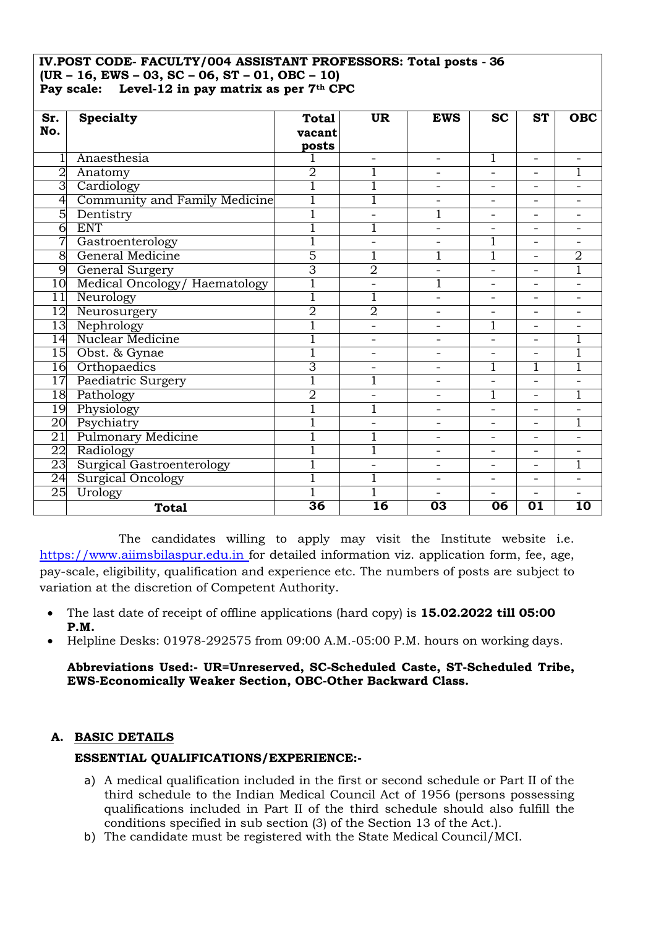#### **IV.POST CODE- FACULTY/004 ASSISTANT PROFESSORS: Total posts - 36 (UR – 16, EWS – 03, SC – 06, ST – 01, OBC – 10) Pay scale: Level-12 in pay matrix as per 7th CPC**

| Sr.             | <b>Specialty</b>                 | <b>Total</b>    | <b>UR</b>                | <b>EWS</b>               | <b>SC</b>                | <b>ST</b>                | <b>OBC</b>      |
|-----------------|----------------------------------|-----------------|--------------------------|--------------------------|--------------------------|--------------------------|-----------------|
| No.             |                                  | vacant          |                          |                          |                          |                          |                 |
|                 |                                  | posts           |                          |                          |                          |                          |                 |
|                 | Anaesthesia                      |                 | $\overline{a}$           | $\overline{a}$           | 1                        | $\overline{\phantom{0}}$ |                 |
| $\overline{2}$  | Anatomy                          | $\overline{2}$  |                          | $\overline{\phantom{0}}$ | $\overline{\phantom{0}}$ |                          |                 |
| 3               | Cardiology                       |                 |                          |                          |                          |                          |                 |
| 4               | Community and Family Medicine    | ī               | Ī                        | $\overline{a}$           |                          |                          |                 |
| 5               | Dentistry                        | $\overline{1}$  |                          |                          |                          |                          |                 |
| 6               | <b>ENT</b>                       | Ī               |                          | $\overline{\phantom{0}}$ | $\overline{\phantom{0}}$ | $\overline{\phantom{0}}$ |                 |
| 7               | Gastroenterology                 | $\overline{1}$  | $\overline{\phantom{0}}$ |                          | 1                        |                          |                 |
| 8               | General Medicine                 | 5               |                          |                          | $\overline{1}$           | $\overline{\phantom{0}}$ | 2               |
| 9               | General Surgery                  | 3               | 2                        |                          |                          |                          | 1               |
| 10              | Medical Oncology/ Haematology    | $\overline{1}$  | $\overline{\phantom{0}}$ |                          | -                        | -                        |                 |
| 11              | Neurology                        | $\overline{1}$  | 1                        | $\overline{a}$           |                          |                          |                 |
| 12              | Neurosurgery                     | $\overline{2}$  | $\overline{2}$           |                          |                          | $\overline{\phantom{0}}$ |                 |
| 13              | Nephrology                       | $\overline{1}$  | $\overline{\phantom{0}}$ | $\overline{\phantom{0}}$ | 1                        | -                        |                 |
| $\overline{14}$ | Nuclear Medicine                 | $\overline{1}$  | $\overline{\phantom{0}}$ | $\overline{a}$           |                          | $\overline{\phantom{0}}$ | 1               |
| 15              | Obst. & Gynae                    | 1               | $\overline{\phantom{0}}$ | $\overline{a}$           |                          |                          | 1               |
| 16              | Orthopaedics                     | 3               | $\overline{\phantom{a}}$ | $\overline{\phantom{0}}$ | 1                        |                          | 1               |
| $\overline{17}$ | Paediatric Surgery               | $\overline{1}$  | 1                        | $\qquad \qquad -$        |                          |                          |                 |
| 18              | Pathology                        | $\overline{2}$  |                          |                          | 1                        |                          | 1               |
| 19              | Physiology                       | Ī               | Ī                        | $\overline{\phantom{0}}$ |                          |                          |                 |
| 20              | Psychiatry                       | $\overline{1}$  |                          |                          |                          |                          | $\overline{1}$  |
| 21              | <b>Pulmonary Medicine</b>        | $\overline{1}$  |                          | $\overline{\phantom{0}}$ | $\overline{\phantom{0}}$ | $\overline{\phantom{0}}$ |                 |
| 22              | Radiology                        | 1               | ī                        |                          |                          |                          |                 |
| 23              | <b>Surgical Gastroenterology</b> |                 | $\overline{\phantom{0}}$ | $\overline{\phantom{0}}$ | $\overline{\phantom{0}}$ |                          | Ī               |
| 24              | <b>Surgical Oncology</b>         | 1               |                          | $\overline{\phantom{0}}$ |                          |                          |                 |
| 25              | Urology                          | 1               |                          | $\overline{\phantom{0}}$ | $\overline{\phantom{0}}$ | $\overline{\phantom{0}}$ |                 |
|                 | <b>Total</b>                     | $\overline{36}$ | $\overline{16}$          | 03                       | 06                       | $\overline{01}$          | $\overline{10}$ |

The candidates willing to apply may visit the Institute website i.e. https://www.aiimsbilaspur.edu.in for detailed information viz. application form, fee, age, pay-scale, eligibility, qualification and experience etc. The numbers of posts are subject to variation at the discretion of Competent Authority.

- The last date of receipt of offline applications (hard copy) is **15.02.2022 till 05:00 P.M.**
- Helpline Desks: 01978-292575 from 09:00 A.M.-05:00 P.M. hours on working days.

**Abbreviations Used:- UR=Unreserved, SC-Scheduled Caste, ST-Scheduled Tribe, EWS-Economically Weaker Section, OBC-Other Backward Class.** 

### **A. BASIC DETAILS**

### **ESSENTIAL QUALIFICATIONS/EXPERIENCE:-**

- a) A medical qualification included in the first or second schedule or Part II of the third schedule to the Indian Medical Council Act of 1956 (persons possessing qualifications included in Part II of the third schedule should also fulfill the conditions specified in sub section (3) of the Section 13 of the Act.).
- b) The candidate must be registered with the State Medical Council/MCI.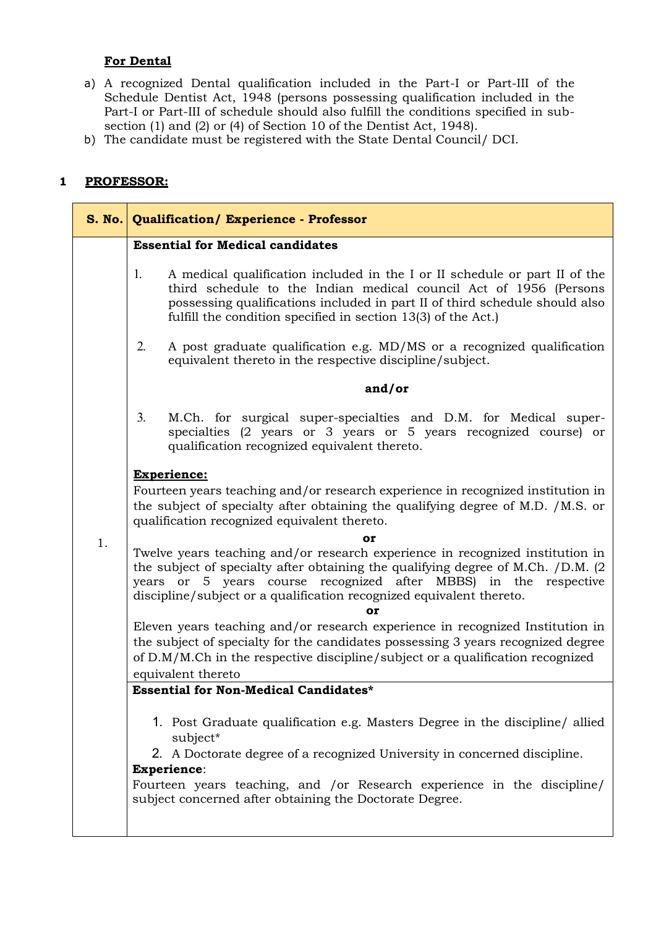# **For Dental**

- a) A recognized Dental qualification included in the Part-I or Part-III of the Schedule Dentist Act, 1948 (persons possessing qualification included in the Part-I or Part-III of schedule should also fulfill the conditions specified in subsection (1) and (2) or (4) of Section 10 of the Dentist Act, 1948).
- b) The candidate must be registered with the State Dental Council/ DCI.

# **1 PROFESSOR:**

|    | S. No. Qualification/ Experience - Professor                                                                                                                                                                                                                                                                        |  |  |  |
|----|---------------------------------------------------------------------------------------------------------------------------------------------------------------------------------------------------------------------------------------------------------------------------------------------------------------------|--|--|--|
|    | <b>Essential for Medical candidates</b>                                                                                                                                                                                                                                                                             |  |  |  |
|    | 1.<br>A medical qualification included in the I or II schedule or part II of the<br>third schedule to the Indian medical council Act of 1956 (Persons<br>possessing qualifications included in part II of third schedule should also<br>fulfill the condition specified in section 13(3) of the Act.)               |  |  |  |
|    | A post graduate qualification e.g. MD/MS or a recognized qualification<br>2.<br>equivalent thereto in the respective discipline/subject.                                                                                                                                                                            |  |  |  |
|    | and/or                                                                                                                                                                                                                                                                                                              |  |  |  |
|    | 3.<br>M.Ch. for surgical super-specialties and D.M. for Medical super-<br>specialties (2 years or 3 years or 5 years recognized course) or<br>qualification recognized equivalent thereto.                                                                                                                          |  |  |  |
|    | <b>Experience:</b><br>Fourteen years teaching and/or research experience in recognized institution in<br>the subject of specialty after obtaining the qualifying degree of M.D. /M.S. or<br>qualification recognized equivalent thereto.                                                                            |  |  |  |
| 1. | or                                                                                                                                                                                                                                                                                                                  |  |  |  |
|    | Twelve years teaching and/or research experience in recognized institution in<br>the subject of specialty after obtaining the qualifying degree of M.Ch. /D.M. (2<br>years or 5 years course recognized after MBBS) in the respective<br>discipline/subject or a qualification recognized equivalent thereto.<br>Oľ |  |  |  |
|    | Eleven years teaching and/or research experience in recognized Institution in                                                                                                                                                                                                                                       |  |  |  |
|    | the subject of specialty for the candidates possessing 3 years recognized degree                                                                                                                                                                                                                                    |  |  |  |
|    | of D.M/M.Ch in the respective discipline/subject or a qualification recognized                                                                                                                                                                                                                                      |  |  |  |
|    | equivalent thereto<br><b>Essential for Non-Medical Candidates*</b>                                                                                                                                                                                                                                                  |  |  |  |
|    |                                                                                                                                                                                                                                                                                                                     |  |  |  |
|    | 1. Post Graduate qualification e.g. Masters Degree in the discipline/ allied<br>subject*                                                                                                                                                                                                                            |  |  |  |
|    | 2. A Doctorate degree of a recognized University in concerned discipline.                                                                                                                                                                                                                                           |  |  |  |
|    | <b>Experience:</b>                                                                                                                                                                                                                                                                                                  |  |  |  |
|    | Fourteen years teaching, and /or Research experience in the discipline/<br>subject concerned after obtaining the Doctorate Degree.                                                                                                                                                                                  |  |  |  |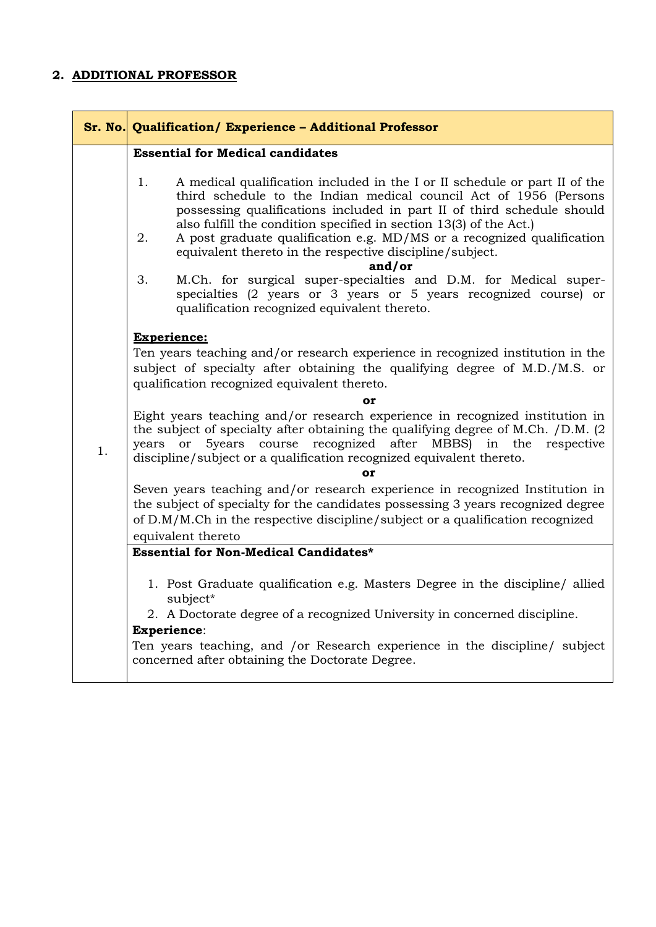### **2. ADDITIONAL PROFESSOR**

|    | Sr. No. Qualification/ Experience - Additional Professor                                                                                                                                                                                                                                                                                                                                                                                                    |  |  |  |
|----|-------------------------------------------------------------------------------------------------------------------------------------------------------------------------------------------------------------------------------------------------------------------------------------------------------------------------------------------------------------------------------------------------------------------------------------------------------------|--|--|--|
|    | <b>Essential for Medical candidates</b>                                                                                                                                                                                                                                                                                                                                                                                                                     |  |  |  |
|    | 1.<br>A medical qualification included in the I or II schedule or part II of the<br>third schedule to the Indian medical council Act of 1956 (Persons<br>possessing qualifications included in part II of third schedule should<br>also fulfill the condition specified in section 13(3) of the Act.)<br>A post graduate qualification e.g. MD/MS or a recognized qualification<br>2.<br>equivalent thereto in the respective discipline/subject.<br>and/or |  |  |  |
|    | M.Ch. for surgical super-specialties and D.M. for Medical super-<br>3.<br>specialties (2 years or 3 years or 5 years recognized course) or<br>qualification recognized equivalent thereto.                                                                                                                                                                                                                                                                  |  |  |  |
|    | <b>Experience:</b><br>Ten years teaching and/or research experience in recognized institution in the<br>subject of specialty after obtaining the qualifying degree of M.D./M.S. or<br>qualification recognized equivalent thereto.                                                                                                                                                                                                                          |  |  |  |
|    | or                                                                                                                                                                                                                                                                                                                                                                                                                                                          |  |  |  |
| 1. | Eight years teaching and/or research experience in recognized institution in<br>the subject of specialty after obtaining the qualifying degree of M.Ch. /D.M. (2)<br>course recognized after MBBS) in the respective<br>5years<br><b>or</b><br>years<br>discipline/subject or a qualification recognized equivalent thereto.                                                                                                                                |  |  |  |
|    | <b>or</b>                                                                                                                                                                                                                                                                                                                                                                                                                                                   |  |  |  |
|    | Seven years teaching and/or research experience in recognized Institution in<br>the subject of specialty for the candidates possessing 3 years recognized degree<br>of D.M/M.Ch in the respective discipline/subject or a qualification recognized                                                                                                                                                                                                          |  |  |  |
|    | equivalent thereto                                                                                                                                                                                                                                                                                                                                                                                                                                          |  |  |  |
|    | <b>Essential for Non-Medical Candidates*</b>                                                                                                                                                                                                                                                                                                                                                                                                                |  |  |  |
|    | 1. Post Graduate qualification e.g. Masters Degree in the discipline/ allied<br>subject*                                                                                                                                                                                                                                                                                                                                                                    |  |  |  |
|    | 2. A Doctorate degree of a recognized University in concerned discipline.                                                                                                                                                                                                                                                                                                                                                                                   |  |  |  |
|    | Experience:<br>Ten years teaching, and /or Research experience in the discipline/ subject                                                                                                                                                                                                                                                                                                                                                                   |  |  |  |
|    | concerned after obtaining the Doctorate Degree.                                                                                                                                                                                                                                                                                                                                                                                                             |  |  |  |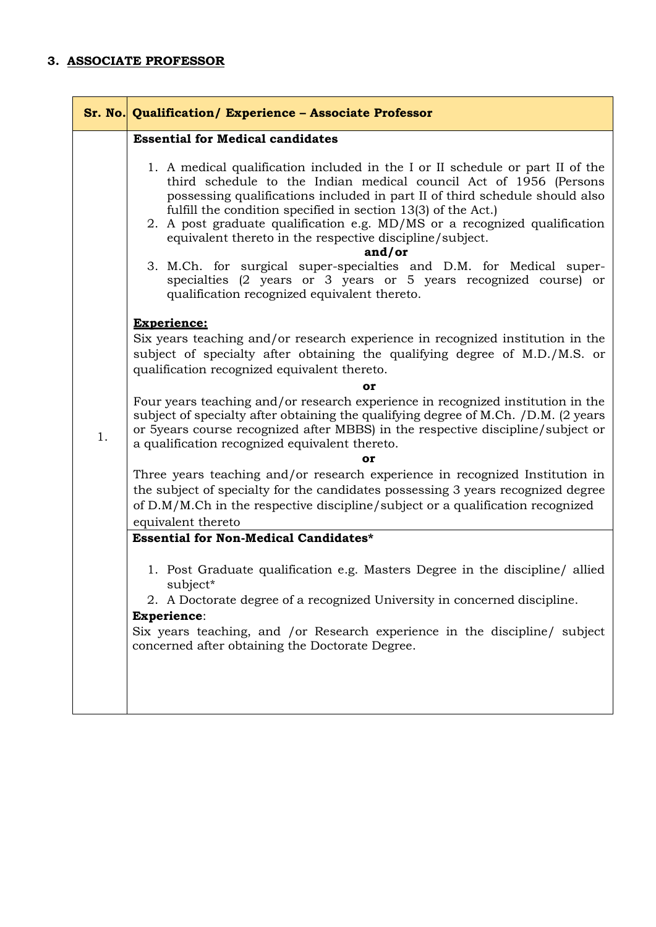# **3. ASSOCIATE PROFESSOR**

|    | Sr. No. Qualification/ Experience - Associate Professor                                                                                                                                                                                                                                                                                                                                                                                                                                                                                                                                                                                          |
|----|--------------------------------------------------------------------------------------------------------------------------------------------------------------------------------------------------------------------------------------------------------------------------------------------------------------------------------------------------------------------------------------------------------------------------------------------------------------------------------------------------------------------------------------------------------------------------------------------------------------------------------------------------|
|    | <b>Essential for Medical candidates</b>                                                                                                                                                                                                                                                                                                                                                                                                                                                                                                                                                                                                          |
|    | 1. A medical qualification included in the I or II schedule or part II of the<br>third schedule to the Indian medical council Act of 1956 (Persons<br>possessing qualifications included in part II of third schedule should also<br>fulfill the condition specified in section 13(3) of the Act.)<br>2. A post graduate qualification e.g. MD/MS or a recognized qualification<br>equivalent thereto in the respective discipline/subject.<br>and/or<br>3. M.Ch. for surgical super-specialties and D.M. for Medical super-<br>specialties (2 years or 3 years or 5 years recognized course) or<br>qualification recognized equivalent thereto. |
|    | <b>Experience:</b>                                                                                                                                                                                                                                                                                                                                                                                                                                                                                                                                                                                                                               |
|    | Six years teaching and/or research experience in recognized institution in the<br>subject of specialty after obtaining the qualifying degree of M.D./M.S. or<br>qualification recognized equivalent thereto.                                                                                                                                                                                                                                                                                                                                                                                                                                     |
|    | or                                                                                                                                                                                                                                                                                                                                                                                                                                                                                                                                                                                                                                               |
| 1. | Four years teaching and/or research experience in recognized institution in the<br>subject of specialty after obtaining the qualifying degree of M.Ch. /D.M. (2 years<br>or 5years course recognized after MBBS) in the respective discipline/subject or<br>a qualification recognized equivalent thereto.                                                                                                                                                                                                                                                                                                                                       |
|    | or                                                                                                                                                                                                                                                                                                                                                                                                                                                                                                                                                                                                                                               |
|    | Three years teaching and/or research experience in recognized Institution in<br>the subject of specialty for the candidates possessing 3 years recognized degree<br>of D.M/M.Ch in the respective discipline/subject or a qualification recognized                                                                                                                                                                                                                                                                                                                                                                                               |
|    | equivalent thereto<br><b>Essential for Non-Medical Candidates*</b>                                                                                                                                                                                                                                                                                                                                                                                                                                                                                                                                                                               |
|    | 1. Post Graduate qualification e.g. Masters Degree in the discipline/ allied<br>subject*<br>2. A Doctorate degree of a recognized University in concerned discipline.                                                                                                                                                                                                                                                                                                                                                                                                                                                                            |
|    | <b>Experience:</b>                                                                                                                                                                                                                                                                                                                                                                                                                                                                                                                                                                                                                               |
|    | Six years teaching, and /or Research experience in the discipline/ subject<br>concerned after obtaining the Doctorate Degree.                                                                                                                                                                                                                                                                                                                                                                                                                                                                                                                    |
|    |                                                                                                                                                                                                                                                                                                                                                                                                                                                                                                                                                                                                                                                  |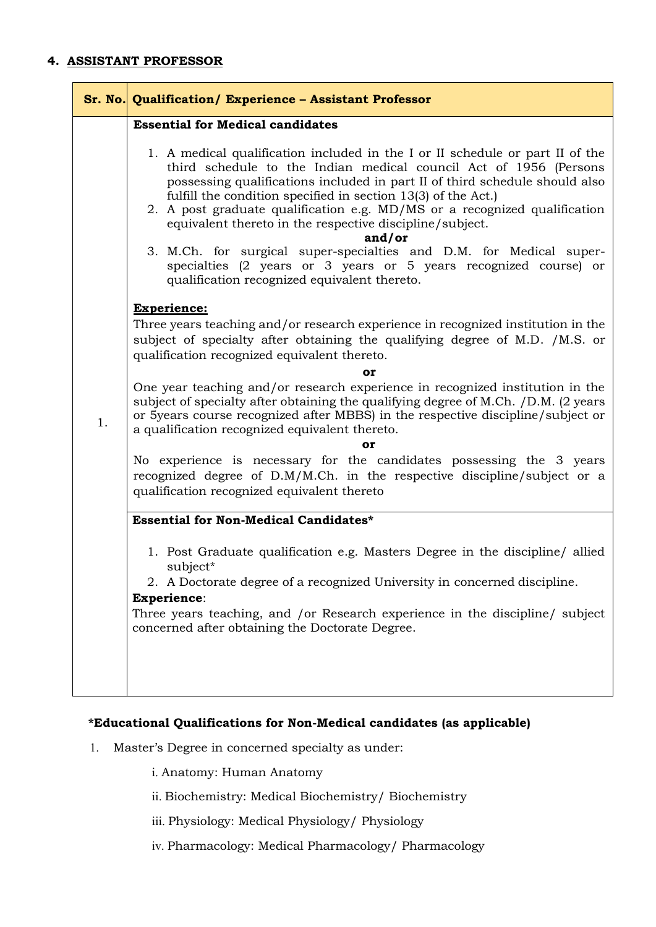### **4. ASSISTANT PROFESSOR**

|    | Sr. No. Qualification/ Experience - Assistant Professor                                                                                                                                                                                                                                                                                                                                                                                                                                                                                                                                                                                                                                                                                                                                                                                                                                                                                                                                                                                                                                                                                                                                                                                                |
|----|--------------------------------------------------------------------------------------------------------------------------------------------------------------------------------------------------------------------------------------------------------------------------------------------------------------------------------------------------------------------------------------------------------------------------------------------------------------------------------------------------------------------------------------------------------------------------------------------------------------------------------------------------------------------------------------------------------------------------------------------------------------------------------------------------------------------------------------------------------------------------------------------------------------------------------------------------------------------------------------------------------------------------------------------------------------------------------------------------------------------------------------------------------------------------------------------------------------------------------------------------------|
| 1. | <b>Essential for Medical candidates</b><br>1. A medical qualification included in the I or II schedule or part II of the<br>third schedule to the Indian medical council Act of 1956 (Persons<br>possessing qualifications included in part II of third schedule should also<br>fulfill the condition specified in section 13(3) of the Act.)<br>2. A post graduate qualification e.g. MD/MS or a recognized qualification<br>equivalent thereto in the respective discipline/subject.<br>and/or<br>3. M.Ch. for surgical super-specialties and D.M. for Medical super-<br>specialties (2 years or 3 years or 5 years recognized course) or<br>qualification recognized equivalent thereto.<br><b>Experience:</b><br>Three years teaching and/or research experience in recognized institution in the<br>subject of specialty after obtaining the qualifying degree of M.D. /M.S. or<br>qualification recognized equivalent thereto.<br>or<br>One year teaching and/or research experience in recognized institution in the<br>subject of specialty after obtaining the qualifying degree of M.Ch. /D.M. (2 years<br>or 5years course recognized after MBBS) in the respective discipline/subject or<br>a qualification recognized equivalent thereto. |
|    | or<br>No experience is necessary for the candidates possessing the 3 years<br>recognized degree of D.M/M.Ch. in the respective discipline/subject or a                                                                                                                                                                                                                                                                                                                                                                                                                                                                                                                                                                                                                                                                                                                                                                                                                                                                                                                                                                                                                                                                                                 |
|    | qualification recognized equivalent thereto<br><b>Essential for Non-Medical Candidates*</b>                                                                                                                                                                                                                                                                                                                                                                                                                                                                                                                                                                                                                                                                                                                                                                                                                                                                                                                                                                                                                                                                                                                                                            |
|    | 1. Post Graduate qualification e.g. Masters Degree in the discipline/ allied<br>subject*<br>2. A Doctorate degree of a recognized University in concerned discipline.<br><b>Experience:</b>                                                                                                                                                                                                                                                                                                                                                                                                                                                                                                                                                                                                                                                                                                                                                                                                                                                                                                                                                                                                                                                            |
|    | Three years teaching, and /or Research experience in the discipline/ subject<br>concerned after obtaining the Doctorate Degree.                                                                                                                                                                                                                                                                                                                                                                                                                                                                                                                                                                                                                                                                                                                                                                                                                                                                                                                                                                                                                                                                                                                        |
|    |                                                                                                                                                                                                                                                                                                                                                                                                                                                                                                                                                                                                                                                                                                                                                                                                                                                                                                                                                                                                                                                                                                                                                                                                                                                        |

# **\*Educational Qualifications for Non-Medical candidates (as applicable)**

- 1. Master's Degree in concerned specialty as under:
	- i. Anatomy: Human Anatomy
	- ii. Biochemistry: Medical Biochemistry/ Biochemistry
	- iii. Physiology: Medical Physiology/ Physiology
	- iv. Pharmacology: Medical Pharmacology/ Pharmacology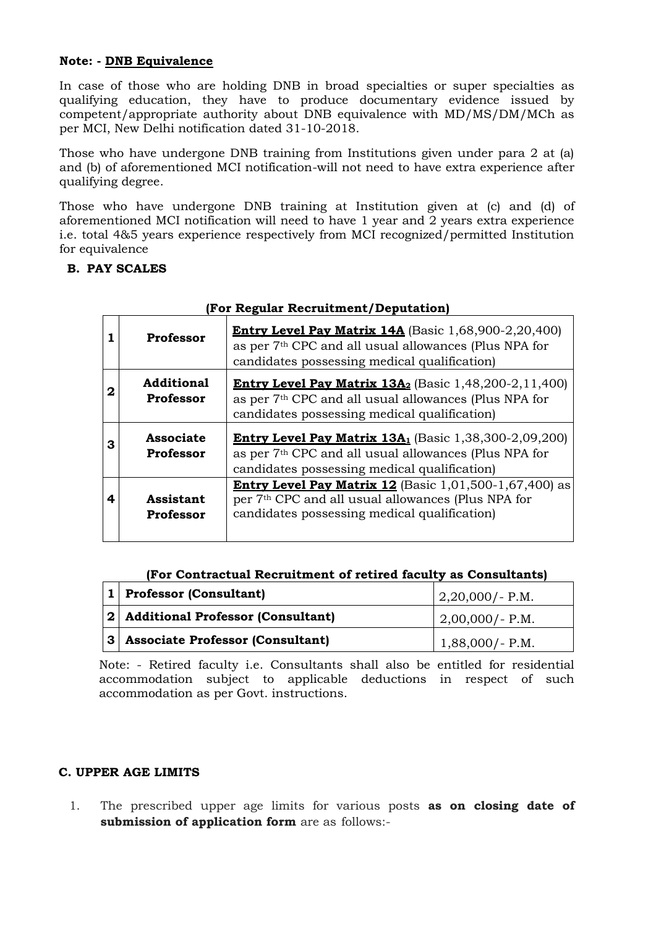### **Note: - DNB Equivalence**

In case of those who are holding DNB in broad specialties or super specialties as qualifying education, they have to produce documentary evidence issued by competent/appropriate authority about DNB equivalence with MD/MS/DM/MCh as per MCI, New Delhi notification dated 31-10-2018.

Those who have undergone DNB training from Institutions given under para 2 at (a) and (b) of aforementioned MCI notification-will not need to have extra experience after qualifying degree.

Those who have undergone DNB training at Institution given at (c) and (d) of aforementioned MCI notification will need to have 1 year and 2 years extra experience i.e. total 4&5 years experience respectively from MCI recognized/permitted Institution for equivalence

### **B. PAY SCALES**

|   | rul Regular Recruitment/Deputation) |                                                                                                                                                                                               |  |  |  |
|---|-------------------------------------|-----------------------------------------------------------------------------------------------------------------------------------------------------------------------------------------------|--|--|--|
|   | <b>Professor</b>                    | <b>Entry Level Pay Matrix 14A</b> (Basic 1,68,900-2,20,400)<br>as per 7 <sup>th</sup> CPC and all usual allowances (Plus NPA for<br>candidates possessing medical qualification)              |  |  |  |
| 2 | <b>Additional</b><br>Professor      | <b>Entry Level Pay Matrix 13A<sub>2</sub></b> (Basic 1,48,200-2,11,400)<br>as per 7 <sup>th</sup> CPC and all usual allowances (Plus NPA for<br>candidates possessing medical qualification)  |  |  |  |
| 3 | <b>Associate</b><br>Professor       | <b>Entry Level Pay Matrix 13A</b> <sub>1</sub> (Basic 1,38,300-2,09,200)<br>as per 7 <sup>th</sup> CPC and all usual allowances (Plus NPA for<br>candidates possessing medical qualification) |  |  |  |
| 4 | Assistant<br><b>Professor</b>       | <b>Entry Level Pay Matrix 12</b> (Basic 1,01,500-1,67,400) as<br>per 7 <sup>th</sup> CPC and all usual allowances (Plus NPA for<br>candidates possessing medical qualification)               |  |  |  |

## **(For Regular Recruitment/Deputation)**

### **(For Contractual Recruitment of retired faculty as Consultants)**

| $\vert 1 \vert$ Professor (Consultant) | $ 2,20,000/$ - P.M. |
|----------------------------------------|---------------------|
| 2  Additional Professor (Consultant)   | $2,00,000/- P.M.$   |
| 3 Associate Professor (Consultant)     | $1,88,000$ /-P.M.   |

Note: - Retired faculty i.e. Consultants shall also be entitled for residential accommodation subject to applicable deductions in respect of such accommodation as per Govt. instructions.

### **C. UPPER AGE LIMITS**

1. The prescribed upper age limits for various posts **as on closing date of submission of application form** are as follows:-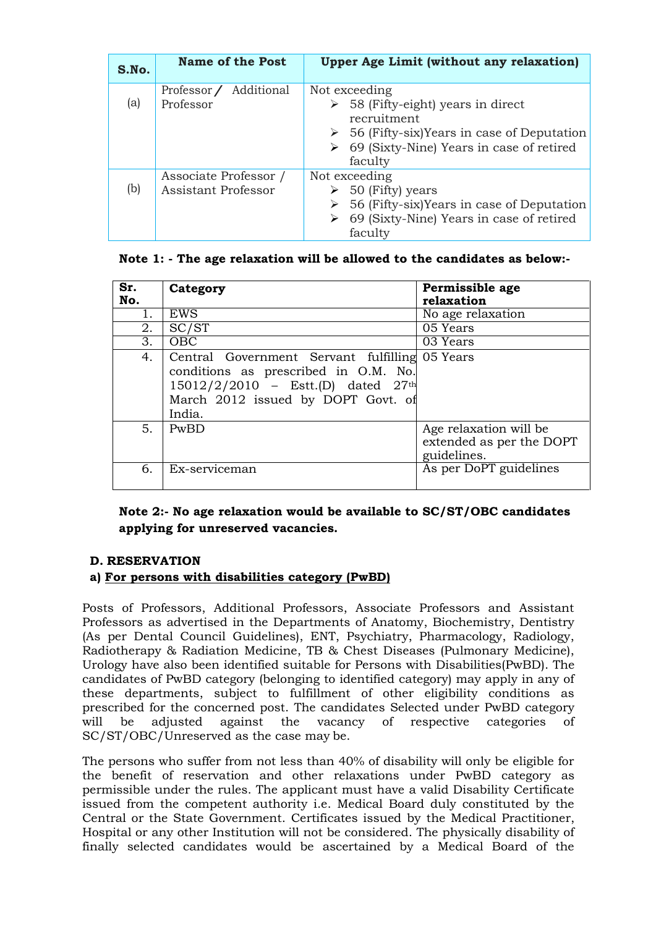| S.No. | <b>Name of the Post</b>                             | <b>Upper Age Limit (without any relaxation)</b>                                                                                                                                                      |
|-------|-----------------------------------------------------|------------------------------------------------------------------------------------------------------------------------------------------------------------------------------------------------------|
| (a)   | Professor / Additional<br>Professor                 | Not exceeding<br>$\geq$ 58 (Fifty-eight) years in direct<br>recruitment<br>$\geq$ 56 (Fifty-six) Years in case of Deputation<br>$\triangleright$ 69 (Sixty-Nine) Years in case of retired<br>faculty |
| (b)   | Associate Professor /<br><b>Assistant Professor</b> | Not exceeding<br>$\geq$ 50 (Fifty) years<br>$\geq$ 56 (Fifty-six) Years in case of Deputation<br>$\triangleright$ 69 (Sixty-Nine) Years in case of retired<br>faculty                                |

### **Note 1: - The age relaxation will be allowed to the candidates as below:-**

| Sr.<br>No. | Category                                                                                                                                                                     | Permissible age<br>relaxation                                     |
|------------|------------------------------------------------------------------------------------------------------------------------------------------------------------------------------|-------------------------------------------------------------------|
| 1.         | EWS                                                                                                                                                                          | No age relaxation                                                 |
| 2.         | SC/ST                                                                                                                                                                        | 05 Years                                                          |
| 3.         | <b>OBC</b>                                                                                                                                                                   | 03 Years                                                          |
| 4.         | Central Government Servant fulfilling 05 Years<br>conditions as prescribed in O.M. No.<br>15012/2/2010 - Estt.(D) dated 27th<br>March 2012 issued by DOPT Govt. of<br>India. |                                                                   |
| 5.         | PwBD                                                                                                                                                                         | Age relaxation will be<br>extended as per the DOPT<br>guidelines. |
| 6.         | Ex-serviceman                                                                                                                                                                | As per DoPT guidelines                                            |

**Note 2:- No age relaxation would be available to SC/ST/OBC candidates applying for unreserved vacancies.** 

### **D. RESERVATION**

### **a) For persons with disabilities category (PwBD)**

Posts of Professors, Additional Professors, Associate Professors and Assistant Professors as advertised in the Departments of Anatomy, Biochemistry, Dentistry (As per Dental Council Guidelines), ENT, Psychiatry, Pharmacology, Radiology, Radiotherapy & Radiation Medicine, TB & Chest Diseases (Pulmonary Medicine), Urology have also been identified suitable for Persons with Disabilities(PwBD). The candidates of PwBD category (belonging to identified category) may apply in any of these departments, subject to fulfillment of other eligibility conditions as prescribed for the concerned post. The candidates Selected under PwBD category will be adjusted against the vacancy of respective categories of SC/ST/OBC/Unreserved as the case may be.

The persons who suffer from not less than 40% of disability will only be eligible for the benefit of reservation and other relaxations under PwBD category as permissible under the rules. The applicant must have a valid Disability Certificate issued from the competent authority i.e. Medical Board duly constituted by the Central or the State Government. Certificates issued by the Medical Practitioner, Hospital or any other Institution will not be considered. The physically disability of finally selected candidates would be ascertained by a Medical Board of the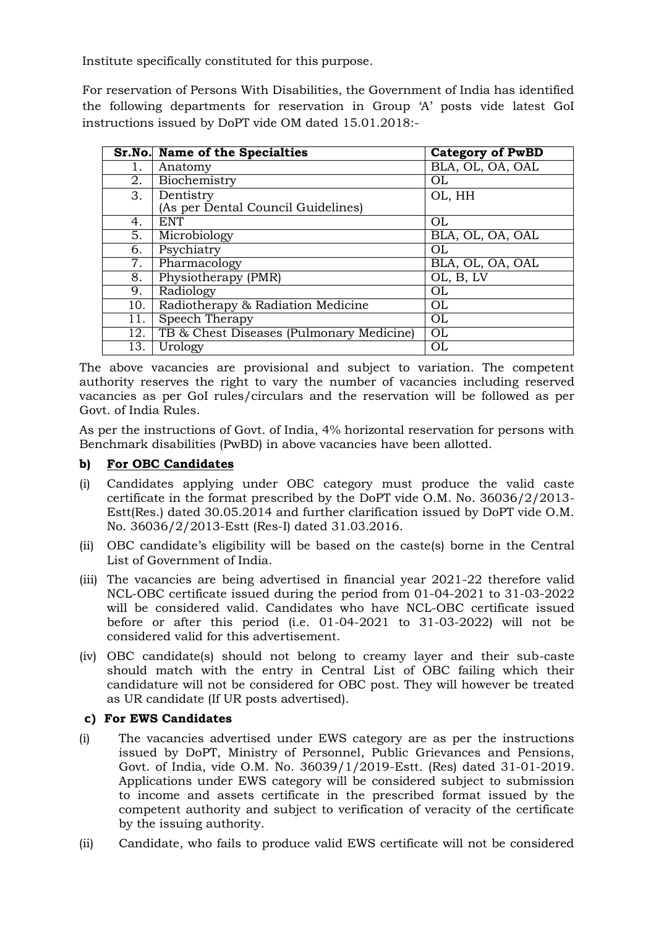Institute specifically constituted for this purpose.

For reservation of Persons With Disabilities, the Government of India has identified the following departments for reservation in Group 'A' posts vide latest GoI instructions issued by DoPT vide OM dated 15.01.2018:-

|                  | <b>Sr.No.</b> Name of the Specialties    | <b>Category of PwBD</b> |
|------------------|------------------------------------------|-------------------------|
| 1.               | Anatomy                                  | BLA, OL, OA, OAL        |
| 2.               | Biochemistry                             | <b>OL</b>               |
| 3.               | Dentistry                                | OL, HH                  |
|                  | (As per Dental Council Guidelines)       |                         |
| 4.               | <b>ENT</b>                               | OL                      |
| 5.               | Microbiology                             | BLA, OL, OA, OAL        |
| 6.               | Psychiatry                               | OL                      |
| $\overline{7}$ . | Pharmacology                             | BLA, OL, OA, OAL        |
| 8.               | Physiotherapy (PMR)                      | OL, B, LV               |
| 9.               | Radiology                                | <b>OL</b>               |
| 10.              | Radiotherapy & Radiation Medicine        | OL                      |
| 11.              | Speech Therapy                           | <b>OL</b>               |
| 12.              | TB & Chest Diseases (Pulmonary Medicine) | OL                      |
| 13.              | Urology                                  | OL                      |

The above vacancies are provisional and subject to variation. The competent authority reserves the right to vary the number of vacancies including reserved vacancies as per GoI rules/circulars and the reservation will be followed as per Govt. of India Rules.

As per the instructions of Govt. of India, 4% horizontal reservation for persons with Benchmark disabilities (PwBD) in above vacancies have been allotted.

### **b) For OBC Candidates**

- (i) Candidates applying under OBC category must produce the valid caste certificate in the format prescribed by the DoPT vide O.M. No. 36036/2/2013- Estt(Res.) dated 30.05.2014 and further clarification issued by DoPT vide O.M. No. 36036/2/2013-Estt (Res-I) dated 31.03.2016.
- (ii) OBC candidate's eligibility will be based on the caste(s) borne in the Central List of Government of India.
- (iii) The vacancies are being advertised in financial year 2021-22 therefore valid NCL-OBC certificate issued during the period from 01-04-2021 to 31-03-2022 will be considered valid. Candidates who have NCL-OBC certificate issued before or after this period (i.e. 01-04-2021 to 31-03-2022) will not be considered valid for this advertisement.
- (iv) OBC candidate(s) should not belong to creamy layer and their sub-caste should match with the entry in Central List of OBC failing which their candidature will not be considered for OBC post. They will however be treated as UR candidate (If UR posts advertised).

### **c) For EWS Candidates**

- (i) The vacancies advertised under EWS category are as per the instructions issued by DoPT, Ministry of Personnel, Public Grievances and Pensions, Govt. of India, vide O.M. No. 36039/1/2019-Estt. (Res) dated 31-01-2019. Applications under EWS category will be considered subject to submission to income and assets certificate in the prescribed format issued by the competent authority and subject to verification of veracity of the certificate by the issuing authority.
- (ii) Candidate, who fails to produce valid EWS certificate will not be considered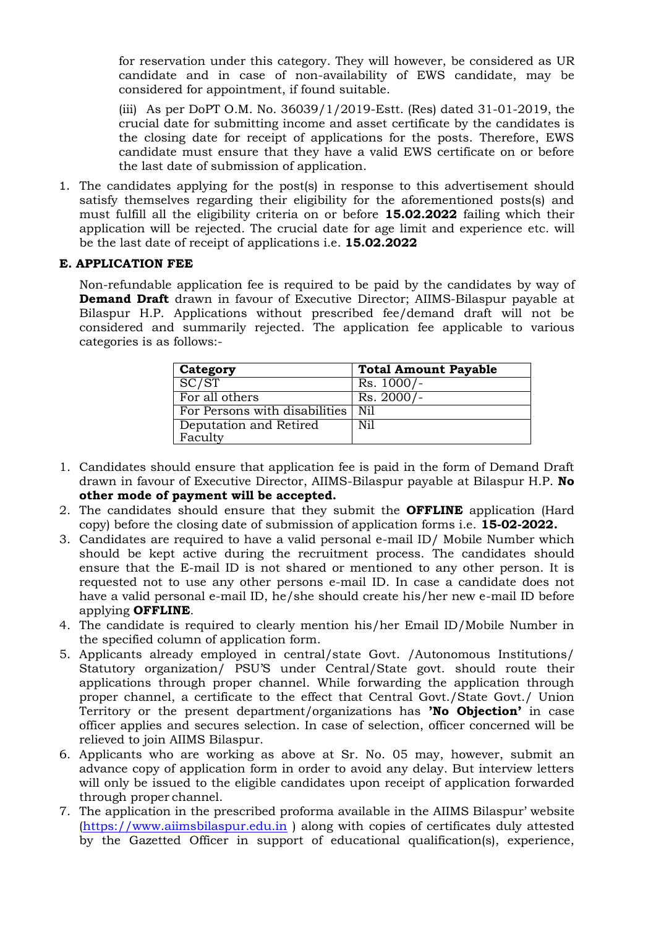for reservation under this category. They will however, be considered as UR candidate and in case of non-availability of EWS candidate, may be considered for appointment, if found suitable.

(iii) As per DoPT O.M. No. 36039/1/2019-Estt. (Res) dated 31-01-2019, the crucial date for submitting income and asset certificate by the candidates is the closing date for receipt of applications for the posts. Therefore, EWS candidate must ensure that they have a valid EWS certificate on or before the last date of submission of application.

1. The candidates applying for the post(s) in response to this advertisement should satisfy themselves regarding their eligibility for the aforementioned posts(s) and must fulfill all the eligibility criteria on or before **15.02.2022** failing which their application will be rejected. The crucial date for age limit and experience etc. will be the last date of receipt of applications i.e. **15.02.2022**

### **E. APPLICATION FEE**

Non-refundable application fee is required to be paid by the candidates by way of **Demand Draft** drawn in favour of Executive Director; AIIMS-Bilaspur payable at Bilaspur H.P. Applications without prescribed fee/demand draft will not be considered and summarily rejected. The application fee applicable to various categories is as follows:-

| Category                          | <b>Total Amount Payable</b> |
|-----------------------------------|-----------------------------|
| $S\overline{C/ST}$                | $Rs. 1000/-$                |
| For all others                    | $Rs. 2000/-$                |
| For Persons with disabilities     | Ni1                         |
| Deputation and Retired<br>Faculty | Nil                         |

- 1. Candidates should ensure that application fee is paid in the form of Demand Draft drawn in favour of Executive Director, AIIMS-Bilaspur payable at Bilaspur H.P. **No other mode of payment will be accepted.**
- 2. The candidates should ensure that they submit the **OFFLINE** application (Hard copy) before the closing date of submission of application forms i.e. **15-02-2022.**
- 3. Candidates are required to have a valid personal e-mail ID/ Mobile Number which should be kept active during the recruitment process. The candidates should ensure that the E-mail ID is not shared or mentioned to any other person. It is requested not to use any other persons e-mail ID. In case a candidate does not have a valid personal e-mail ID, he/she should create his/her new e-mail ID before applying **OFFLINE**.
- 4. The candidate is required to clearly mention his/her Email ID/Mobile Number in the specified column of application form.
- 5. Applicants already employed in central/state Govt. /Autonomous Institutions/ Statutory organization/ PSU'S under Central/State govt. should route their applications through proper channel. While forwarding the application through proper channel, a certificate to the effect that Central Govt./State Govt./ Union Territory or the present department/organizations has **"No Objection"** in case officer applies and secures selection. In case of selection, officer concerned will be relieved to join AIIMS Bilaspur.
- 6. Applicants who are working as above at Sr. No. 05 may, however, submit an advance copy of application form in order to avoid any delay. But interview letters will only be issued to the eligible candidates upon receipt of application forwarded through proper channel.
- 7. The application in the prescribed proforma available in the AIIMS Bilaspur' website [\(https://www.aiimsbilaspur.edu.in](https://www.aiimsbilaspur.edu.in/) ) along with copies of certificates duly attested by the Gazetted Officer in support of educational qualification(s), experience,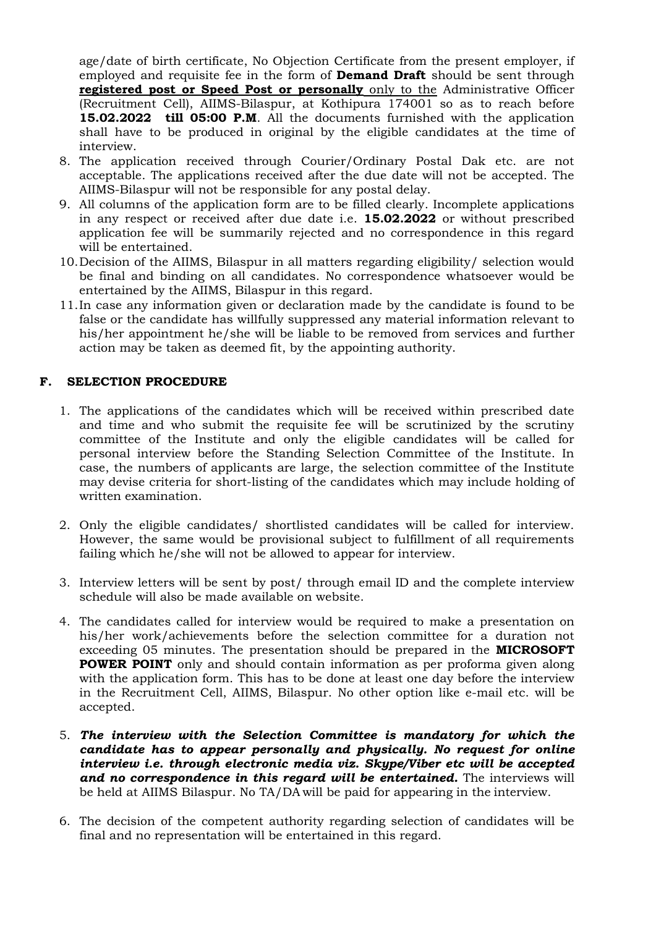age/date of birth certificate, No Objection Certificate from the present employer, if employed and requisite fee in the form of **Demand Draft** should be sent through **registered post or Speed Post or personally** only to the Administrative Officer (Recruitment Cell), AIIMS-Bilaspur, at Kothipura 174001 so as to reach before **15.02.2022 till 05:00 P.M**. All the documents furnished with the application shall have to be produced in original by the eligible candidates at the time of interview.

- 8. The application received through Courier/Ordinary Postal Dak etc. are not acceptable. The applications received after the due date will not be accepted. The AIIMS-Bilaspur will not be responsible for any postal delay.
- 9. All columns of the application form are to be filled clearly. Incomplete applications in any respect or received after due date i.e. **15.02.2022** or without prescribed application fee will be summarily rejected and no correspondence in this regard will be entertained.
- 10.Decision of the AIIMS, Bilaspur in all matters regarding eligibility/ selection would be final and binding on all candidates. No correspondence whatsoever would be entertained by the AIIMS, Bilaspur in this regard.
- 11.In case any information given or declaration made by the candidate is found to be false or the candidate has willfully suppressed any material information relevant to his/her appointment he/she will be liable to be removed from services and further action may be taken as deemed fit, by the appointing authority.

### **F. SELECTION PROCEDURE**

- 1. The applications of the candidates which will be received within prescribed date and time and who submit the requisite fee will be scrutinized by the scrutiny committee of the Institute and only the eligible candidates will be called for personal interview before the Standing Selection Committee of the Institute. In case, the numbers of applicants are large, the selection committee of the Institute may devise criteria for short-listing of the candidates which may include holding of written examination.
- 2. Only the eligible candidates/ shortlisted candidates will be called for interview. However, the same would be provisional subject to fulfillment of all requirements failing which he/she will not be allowed to appear for interview.
- 3. Interview letters will be sent by post/ through email ID and the complete interview schedule will also be made available on website.
- 4. The candidates called for interview would be required to make a presentation on his/her work/achievements before the selection committee for a duration not exceeding 05 minutes. The presentation should be prepared in the **MICROSOFT POWER POINT** only and should contain information as per proforma given along with the application form. This has to be done at least one day before the interview in the Recruitment Cell, AIIMS, Bilaspur. No other option like e-mail etc. will be accepted.
- 5. *The interview with the Selection Committee is mandatory for which the candidate has to appear personally and physically. No request for online interview i.e. through electronic media viz. Skype/Viber etc will be accepted and no correspondence in this regard will be entertained.* The interviews will be held at AIIMS Bilaspur. No TA/DA will be paid for appearing in the interview.
- 6. The decision of the competent authority regarding selection of candidates will be final and no representation will be entertained in this regard.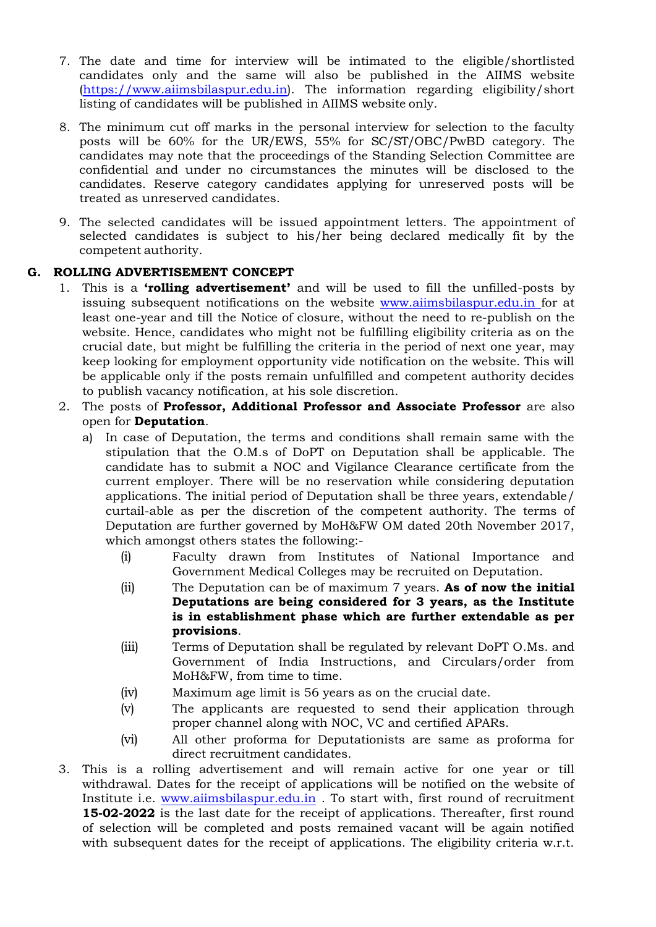- 7. The date and time for interview will be intimated to the eligible/shortlisted candidates only and the same will also be published in the AIIMS website [\(https://www.aiimsbilaspur.edu.in\)](http://www.pgimer.edu.in/). The information regarding eligibility/short listing of candidates will be published in AIIMS website only.
- 8. The minimum cut off marks in the personal interview for selection to the faculty posts will be 60% for the UR/EWS, 55% for SC/ST/OBC/PwBD category. The candidates may note that the proceedings of the Standing Selection Committee are confidential and under no circumstances the minutes will be disclosed to the candidates. Reserve category candidates applying for unreserved posts will be treated as unreserved candidates.
- 9. The selected candidates will be issued appointment letters. The appointment of selected candidates is subject to his/her being declared medically fit by the competent authority.

### **G. ROLLING ADVERTISEMENT CONCEPT**

- 1. This is a **"rolling advertisement"** and will be used to fill the unfilled-posts by issuing subsequent notifications on the website www.aiimsbilaspur.edu.in for at least one-year and till the Notice of closure, without the need to re-publish on the website. Hence, candidates who might not be fulfilling eligibility criteria as on the crucial date, but might be fulfilling the criteria in the period of next one year, may keep looking for employment opportunity vide notification on the website. This will be applicable only if the posts remain unfulfilled and competent authority decides to publish vacancy notification, at his sole discretion.
- 2. The posts of **Professor, Additional Professor and Associate Professor** are also open for **Deputation**.
	- a) In case of Deputation, the terms and conditions shall remain same with the stipulation that the O.M.s of DoPT on Deputation shall be applicable. The candidate has to submit a NOC and Vigilance Clearance certificate from the current employer. There will be no reservation while considering deputation applications. The initial period of Deputation shall be three years, extendable/ curtail-able as per the discretion of the competent authority. The terms of Deputation are further governed by MoH&FW OM dated 20th November 2017, which amongst others states the following:-
		- (i) Faculty drawn from Institutes of National Importance and Government Medical Colleges may be recruited on Deputation.
		- (ii) The Deputation can be of maximum 7 years. **As of now the initial Deputations are being considered for 3 years, as the Institute is in establishment phase which are further extendable as per provisions**.
		- (iii) Terms of Deputation shall be regulated by relevant DoPT O.Ms. and Government of India Instructions, and Circulars/order from MoH&FW, from time to time.
		- (iv) Maximum age limit is 56 years as on the crucial date.
		- (v) The applicants are requested to send their application through proper channel along with NOC, VC and certified APARs.
		- (vi) All other proforma for Deputationists are same as proforma for direct recruitment candidates.
- 3. This is a rolling advertisement and will remain active for one year or till withdrawal. Dates for the receipt of applications will be notified on the website of Institute i.e. [www.aiimsbilaspur.edu.in](http://www.aiimsbilaspur.edu.in/) . To start with, first round of recruitment **15-02-2022** is the last date for the receipt of applications. Thereafter, first round of selection will be completed and posts remained vacant will be again notified with subsequent dates for the receipt of applications. The eligibility criteria w.r.t.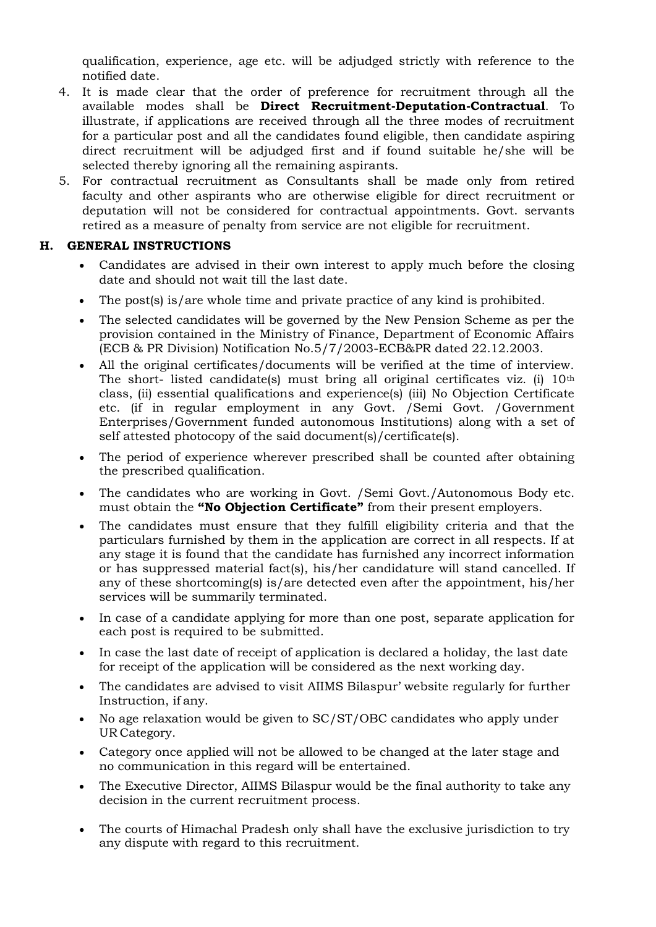qualification, experience, age etc. will be adjudged strictly with reference to the notified date.

- 4. It is made clear that the order of preference for recruitment through all the available modes shall be **Direct Recruitment-Deputation-Contractual**. To illustrate, if applications are received through all the three modes of recruitment for a particular post and all the candidates found eligible, then candidate aspiring direct recruitment will be adjudged first and if found suitable he/she will be selected thereby ignoring all the remaining aspirants.
- 5. For contractual recruitment as Consultants shall be made only from retired faculty and other aspirants who are otherwise eligible for direct recruitment or deputation will not be considered for contractual appointments. Govt. servants retired as a measure of penalty from service are not eligible for recruitment.

### **H. GENERAL INSTRUCTIONS**

- Candidates are advised in their own interest to apply much before the closing date and should not wait till the last date.
- The post(s) is/are whole time and private practice of any kind is prohibited.
- The selected candidates will be governed by the New Pension Scheme as per the provision contained in the Ministry of Finance, Department of Economic Affairs (ECB & PR Division) Notification No.5/7/2003-ECB&PR dated 22.12.2003.
- All the original certificates/documents will be verified at the time of interview. The short- listed candidate(s) must bring all original certificates viz. (i) 10th class, (ii) essential qualifications and experience(s) (iii) No Objection Certificate etc. (if in regular employment in any Govt. /Semi Govt. /Government Enterprises/Government funded autonomous Institutions) along with a set of self attested photocopy of the said document(s)/certificate(s).
- The period of experience wherever prescribed shall be counted after obtaining the prescribed qualification.
- The candidates who are working in Govt. /Semi Govt./Autonomous Body etc. must obtain the **"No Objection Certificate"** from their present employers.
- The candidates must ensure that they fulfill eligibility criteria and that the particulars furnished by them in the application are correct in all respects. If at any stage it is found that the candidate has furnished any incorrect information or has suppressed material fact(s), his/her candidature will stand cancelled. If any of these shortcoming(s) is/are detected even after the appointment, his/her services will be summarily terminated.
- In case of a candidate applying for more than one post, separate application for each post is required to be submitted.
- In case the last date of receipt of application is declared a holiday, the last date for receipt of the application will be considered as the next working day.
- The candidates are advised to visit AIIMS Bilaspur' website regularly for further Instruction, if any.
- No age relaxation would be given to SC/ST/OBC candidates who apply under UR Category.
- Category once applied will not be allowed to be changed at the later stage and no communication in this regard will be entertained.
- The Executive Director, AIIMS Bilaspur would be the final authority to take any decision in the current recruitment process.
- The courts of Himachal Pradesh only shall have the exclusive jurisdiction to try any dispute with regard to this recruitment.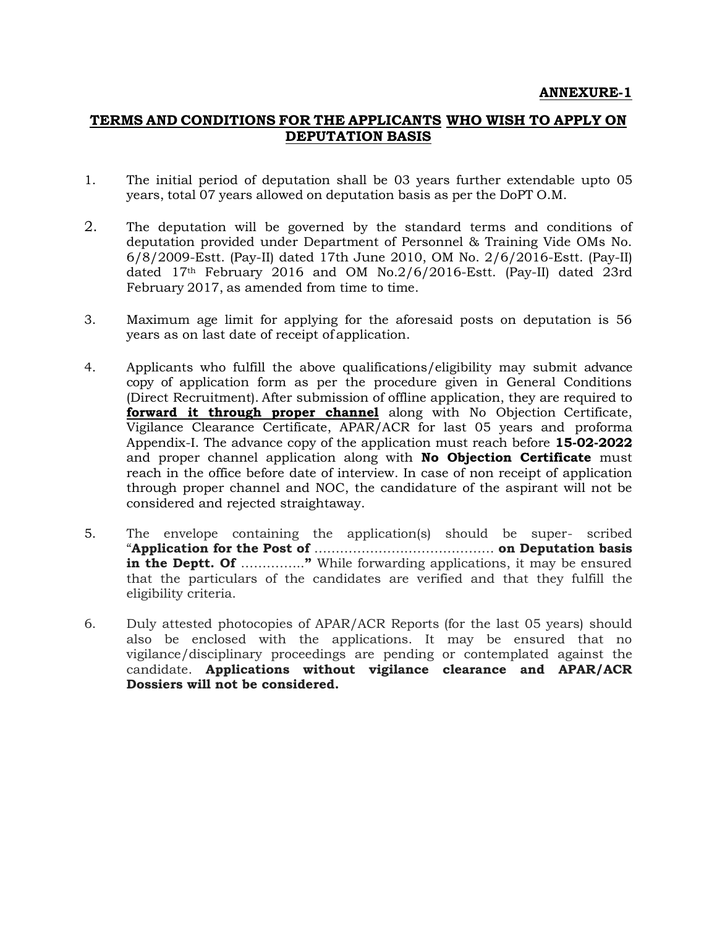### **TERMS AND CONDITIONS FOR THE APPLICANTS WHO WISH TO APPLY ON DEPUTATION BASIS**

- 1. The initial period of deputation shall be 03 years further extendable upto 05 years, total 07 years allowed on deputation basis as per the DoPT O.M.
- 2. The deputation will be governed by the standard terms and conditions of deputation provided under Department of Personnel & Training Vide OMs No. 6/8/2009-Estt. (Pay-II) dated 17th June 2010, OM No. 2/6/2016-Estt. (Pay-II) dated 17th February 2016 and OM No.2/6/2016-Estt. (Pay-II) dated 23rd February 2017, as amended from time to time.
- 3. Maximum age limit for applying for the aforesaid posts on deputation is 56 years as on last date of receipt of application.
- 4. Applicants who fulfill the above qualifications/eligibility may submit advance copy of application form as per the procedure given in General Conditions (Direct Recruitment). After submission of offline application, they are required to **forward it through proper channel** along with No Objection Certificate, Vigilance Clearance Certificate, APAR/ACR for last 05 years and proforma Appendix-I. The advance copy of the application must reach before **15-02-2022**  and proper channel application along with **No Objection Certificate** must reach in the office before date of interview. In case of non receipt of application through proper channel and NOC, the candidature of the aspirant will not be considered and rejected straightaway.
- 5. The envelope containing the application(s) should be super- scribed "**Application for the Post of** …………………………………… **on Deputation basis in the Deptt. Of ..............."** While forwarding applications, it may be ensured that the particulars of the candidates are verified and that they fulfill the eligibility criteria.
- 6. Duly attested photocopies of APAR/ACR Reports (for the last 05 years) should also be enclosed with the applications. It may be ensured that no vigilance/disciplinary proceedings are pending or contemplated against the candidate. **Applications without vigilance clearance and APAR/ACR Dossiers will not be considered.**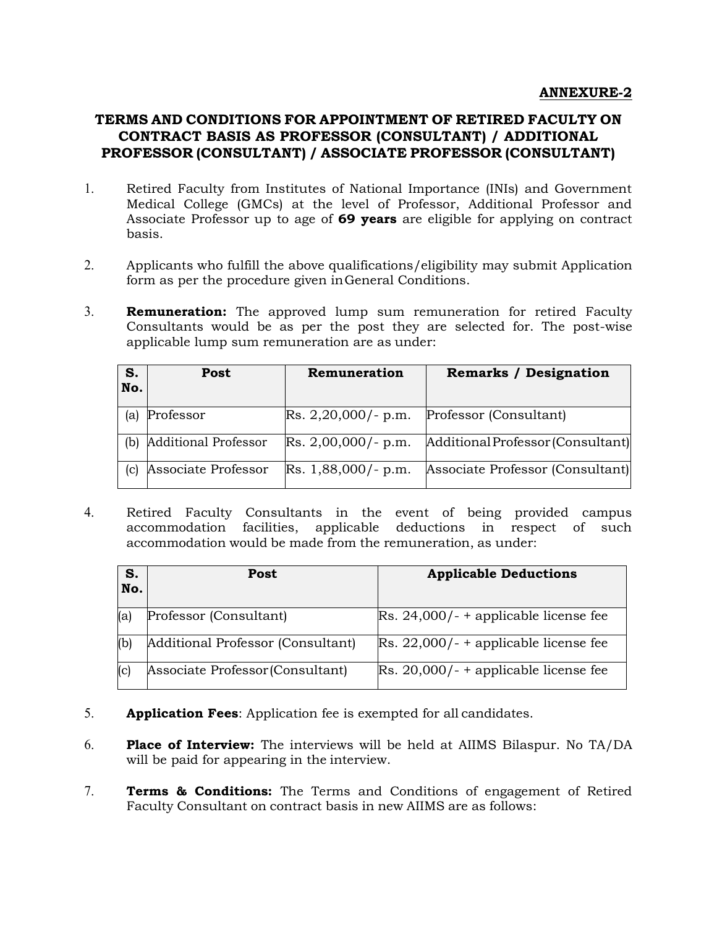# **TERMS AND CONDITIONS FOR APPOINTMENT OF RETIRED FACULTY ON CONTRACT BASIS AS PROFESSOR (CONSULTANT) / ADDITIONAL PROFESSOR (CONSULTANT) / ASSOCIATE PROFESSOR (CONSULTANT)**

- 1. Retired Faculty from Institutes of National Importance (INIs) and Government Medical College (GMCs) at the level of Professor, Additional Professor and Associate Professor up to age of **69 years** are eligible for applying on contract basis.
- 2. Applicants who fulfill the above qualifications/eligibility may submit Application form as per the procedure given in General Conditions.
- 3. **Remuneration:** The approved lump sum remuneration for retired Faculty Consultants would be as per the post they are selected for. The post-wise applicable lump sum remuneration are as under:

| S.<br>No. | Post                        | Remuneration          | <b>Remarks / Designation</b>      |
|-----------|-----------------------------|-----------------------|-----------------------------------|
| (a)       | Professor                   | $Rs. 2,20,000/- p.m.$ | Professor (Consultant)            |
| (b)       | <b>Additional Professor</b> | $Rs. 2,00,000/- p.m.$ | Additional Professor (Consultant) |
| (c)       | Associate Professor         | $Rs. 1,88,000/- p.m.$ | Associate Professor (Consultant)  |

4. Retired Faculty Consultants in the event of being provided campus accommodation facilities, applicable deductions in respect of such accommodation would be made from the remuneration, as under:

| S.<br>No. | Post                              | <b>Applicable Deductions</b>                     |
|-----------|-----------------------------------|--------------------------------------------------|
| (a)       | Professor (Consultant)            | $\text{Rs. } 24,000$ /- + applicable license fee |
| (b)       | Additional Professor (Consultant) | $\text{Rs. } 22,000$ /- + applicable license fee |
| (c)       | Associate Professor (Consultant)  | $\text{Rs. } 20,000$ /- + applicable license fee |

- 5. **Application Fees**: Application fee is exempted for all candidates.
- 6. **Place of Interview:** The interviews will be held at AIIMS Bilaspur. No TA/DA will be paid for appearing in the interview.
- 7. **Terms & Conditions:** The Terms and Conditions of engagement of Retired Faculty Consultant on contract basis in new AIIMS are as follows: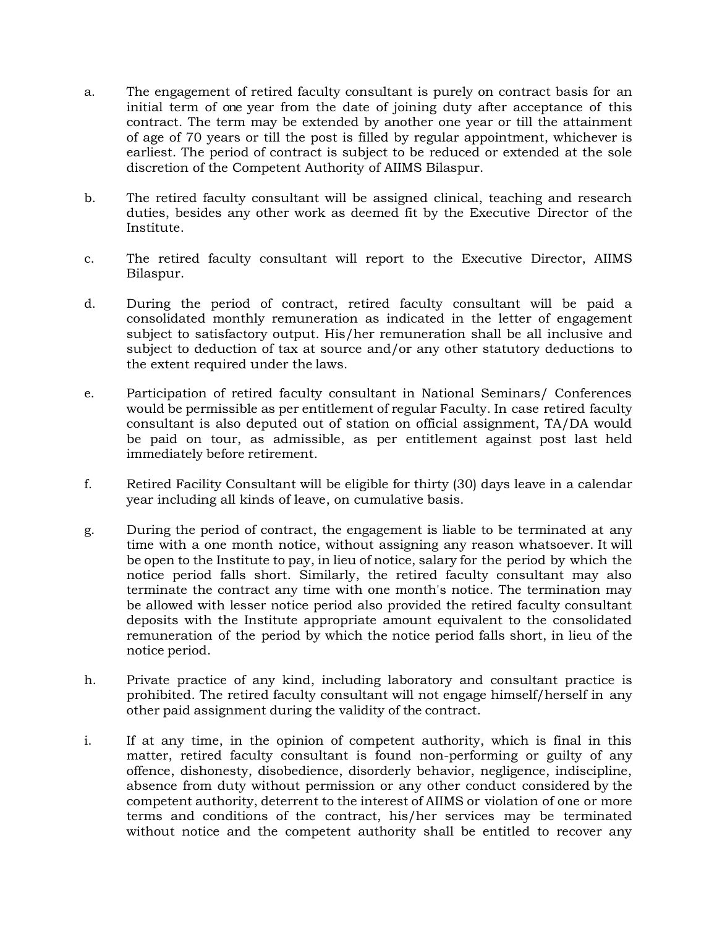- a. The engagement of retired faculty consultant is purely on contract basis for an initial term of one year from the date of joining duty after acceptance of this contract. The term may be extended by another one year or till the attainment of age of 70 years or till the post is filled by regular appointment, whichever is earliest. The period of contract is subject to be reduced or extended at the sole discretion of the Competent Authority of AIIMS Bilaspur.
- b. The retired faculty consultant will be assigned clinical, teaching and research duties, besides any other work as deemed fit by the Executive Director of the Institute.
- c. The retired faculty consultant will report to the Executive Director, AIIMS Bilaspur.
- d. During the period of contract, retired faculty consultant will be paid a consolidated monthly remuneration as indicated in the letter of engagement subject to satisfactory output. His/her remuneration shall be all inclusive and subject to deduction of tax at source and/or any other statutory deductions to the extent required under the laws.
- e. Participation of retired faculty consultant in National Seminars/ Conferences would be permissible as per entitlement of regular Faculty. In case retired faculty consultant is also deputed out of station on official assignment, TA/DA would be paid on tour, as admissible, as per entitlement against post last held immediately before retirement.
- f. Retired Facility Consultant will be eligible for thirty (30) days leave in a calendar year including all kinds of leave, on cumulative basis.
- g. During the period of contract, the engagement is liable to be terminated at any time with a one month notice, without assigning any reason whatsoever. It will be open to the Institute to pay, in lieu of notice, salary for the period by which the notice period falls short. Similarly, the retired faculty consultant may also terminate the contract any time with one month's notice. The termination may be allowed with lesser notice period also provided the retired faculty consultant deposits with the Institute appropriate amount equivalent to the consolidated remuneration of the period by which the notice period falls short, in lieu of the notice period.
- h. Private practice of any kind, including laboratory and consultant practice is prohibited. The retired faculty consultant will not engage himself/herself in any other paid assignment during the validity of the contract.
- i. If at any time, in the opinion of competent authority, which is final in this matter, retired faculty consultant is found non-performing or guilty of any offence, dishonesty, disobedience, disorderly behavior, negligence, indiscipline, absence from duty without permission or any other conduct considered by the competent authority, deterrent to the interest of AIIMS or violation of one or more terms and conditions of the contract, his/her services may be terminated without notice and the competent authority shall be entitled to recover any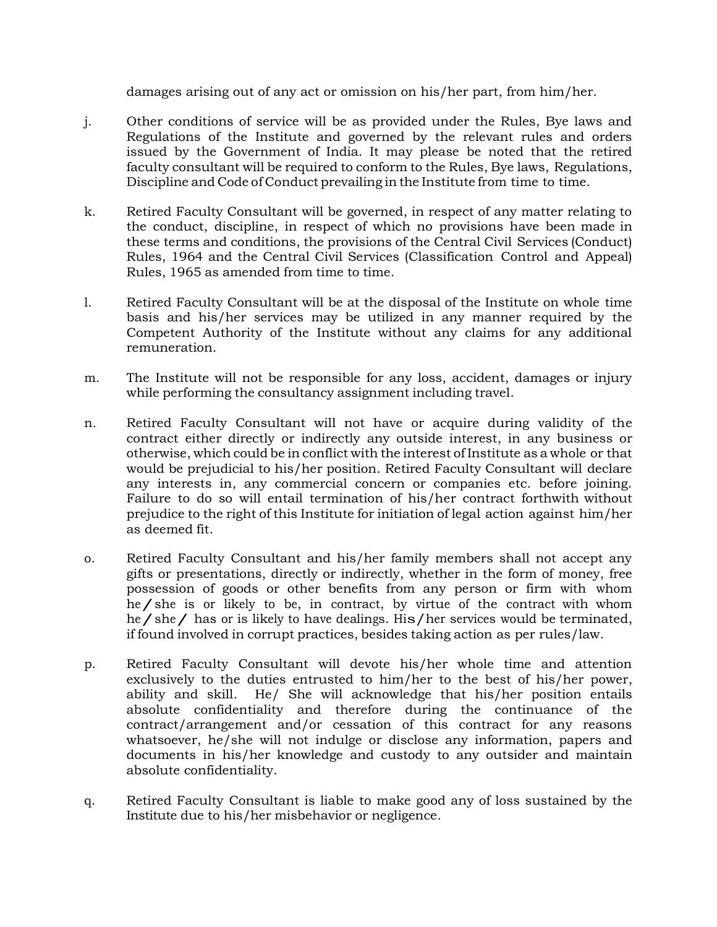damages arising out of any act or omission on his/her part, from him/her.

- j. Other conditions of service will be as provided under the Rules, Bye laws and Regulations of the Institute and governed by the relevant rules and orders issued by the Government of India. It may please be noted that the retired faculty consultant will be required to conform to the Rules, Bye laws, Regulations, Discipline and Code of Conduct prevailing in the Institute from time to time.
- k. Retired Faculty Consultant will be governed, in respect of any matter relating to the conduct, discipline, in respect of which no provisions have been made in these terms and conditions, the provisions of the Central Civil Services (Conduct) Rules, 1964 and the Central Civil Services (Classification Control and Appeal) Rules, 1965 as amended from time to time.
- l. Retired Faculty Consultant will be at the disposal of the Institute on whole time basis and his/her services may be utilized in any manner required by the Competent Authority of the Institute without any claims for any additional remuneration.
- m. The Institute will not be responsible for any loss, accident, damages or injury while performing the consultancy assignment including travel.
- n. Retired Faculty Consultant will not have or acquire during validity of the contract either directly or indirectly any outside interest, in any business or otherwise, which could be in conflict with the interest of Institute as a whole or that would be prejudicial to his/her position. Retired Faculty Consultant will declare any interests in, any commercial concern or companies etc. before joining. Failure to do so will entail termination of his/her contract forthwith without prejudice to the right of this Institute for initiation of legal action against him/her as deemed fit.
- o. Retired Faculty Consultant and his/her family members shall not accept any gifts or presentations, directly or indirectly, whether in the form of money, free possession of goods or other benefits from any person or firm with whom he/she is or likely to be, in contract, by virtue of the contract with whom he/she/ has or is likely to have dealings. His/her services would be terminated, if found involved in corrupt practices, besides taking action as per rules/law.
- p. Retired Faculty Consultant will devote his/her whole time and attention exclusively to the duties entrusted to him/her to the best of his/her power, ability and skill. He/ She will acknowledge that his/her position entails absolute confidentiality and therefore during the continuance of the contract/arrangement and/or cessation of this contract for any reasons whatsoever, he/she will not indulge or disclose any information, papers and documents in his/her knowledge and custody to any outsider and maintain absolute confidentiality.
- q. Retired Faculty Consultant is liable to make good any of loss sustained by the Institute due to his/her misbehavior or negligence.